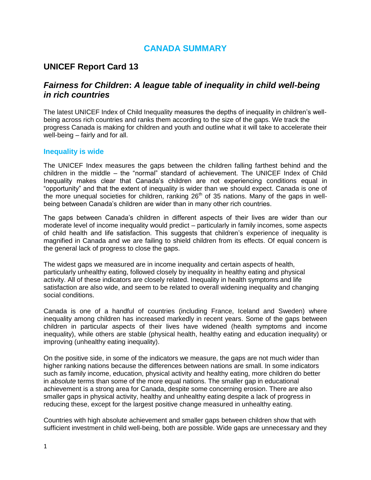# **CANADA SUMMARY**

# **UNICEF Report Card 13**

# *Fairness for Children***:** *A league table of inequality in child well-being in rich countries*

The latest UNICEF Index of Child Inequality measures the depths of inequality in children's wellbeing across rich countries and ranks them according to the size of the gaps. We track the progress Canada is making for children and youth and outline what it will take to accelerate their well-being – fairly and for all.

## **Inequality is wide**

The UNICEF Index measures the gaps between the children falling farthest behind and the children in the middle – the "normal" standard of achievement. The UNICEF Index of Child Inequality makes clear that Canada's children are not experiencing conditions equal in "opportunity" and that the extent of inequality is wider than we should expect. Canada is one of the more unequal societies for children, ranking  $26<sup>th</sup>$  of 35 nations. Many of the gaps in wellbeing between Canada's children are wider than in many other rich countries.

The gaps between Canada's children in different aspects of their lives are wider than our moderate level of income inequality would predict – particularly in family incomes, some aspects of child health and life satisfaction. This suggests that children's experience of inequality is magnified in Canada and we are failing to shield children from its effects. Of equal concern is the general lack of progress to close the gaps.

The widest gaps we measured are in income inequality and certain aspects of health, particularly unhealthy eating, followed closely by inequality in healthy eating and physical activity. All of these indicators are closely related. Inequality in health symptoms and life satisfaction are also wide, and seem to be related to overall widening inequality and changing social conditions.

Canada is one of a handful of countries (including France, Iceland and Sweden) where inequality among children has increased markedly in recent years. Some of the gaps between children in particular aspects of their lives have widened (health symptoms and income inequality), while others are stable (physical health, healthy eating and education inequality) or improving (unhealthy eating inequality).

On the positive side, in some of the indicators we measure, the gaps are not much wider than higher ranking nations because the differences between nations are small. In some indicators such as family income, education, physical activity and healthy eating, more children do better in *absolute* terms than some of the more equal nations. The smaller gap in educational achievement is a strong area for Canada, despite some concerning erosion. There are also smaller gaps in physical activity, healthy and unhealthy eating despite a lack of progress in reducing these, except for the largest positive change measured in unhealthy eating.

Countries with high absolute achievement and smaller gaps between children show that with sufficient investment in child well-being, both are possible. Wide gaps are unnecessary and they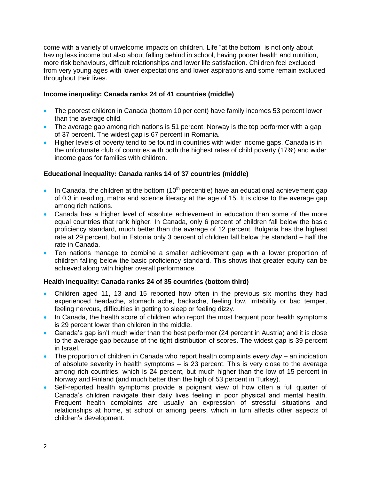come with a variety of unwelcome impacts on children. Life "at the bottom" is not only about having less income but also about falling behind in school, having poorer health and nutrition, more risk behaviours, difficult relationships and lower life satisfaction. Children feel excluded from very young ages with lower expectations and lower aspirations and some remain excluded throughout their lives.

## **Income inequality: Canada ranks 24 of 41 countries (middle)**

- The poorest children in Canada (bottom 10 per cent) have family incomes 53 percent lower than the average child.
- The average gap among rich nations is 51 percent. Norway is the top performer with a gap of 37 percent. The widest gap is 67 percent in Romania.
- Higher levels of poverty tend to be found in countries with wider income gaps. Canada is in the unfortunate club of countries with both the highest rates of child poverty (17%) and wider income gaps for families with children.

# **Educational inequality: Canada ranks 14 of 37 countries (middle)**

- In Canada, the children at the bottom  $(10<sup>th</sup>$  percentile) have an educational achievement gap of 0.3 in reading, maths and science literacy at the age of 15. It is close to the average gap among rich nations.
- Canada has a higher level of absolute achievement in education than some of the more equal countries that rank higher. In Canada, only 6 percent of children fall below the basic proficiency standard, much better than the average of 12 percent. Bulgaria has the highest rate at 29 percent, but in Estonia only 3 percent of children fall below the standard – half the rate in Canada.
- Ten nations manage to combine a smaller achievement gap with a lower proportion of children falling below the basic proficiency standard. This shows that greater equity can be achieved along with higher overall performance.

# **Health inequality: Canada ranks 24 of 35 countries (bottom third)**

- Children aged 11, 13 and 15 reported how often in the previous six months they had experienced headache, stomach ache, backache, feeling low, irritability or bad temper, feeling nervous, difficulties in getting to sleep or feeling dizzy.
- In Canada, the health score of children who report the most frequent poor health symptoms is 29 percent lower than children in the middle.
- Canada's gap isn't much wider than the best performer (24 percent in Austria) and it is close to the average gap because of the tight distribution of scores. The widest gap is 39 percent in Israel.
- The proportion of children in Canada who report health complaints *every day* an indication of absolute severity in health symptoms – is 23 percent. This is very close to the average among rich countries, which is 24 percent, but much higher than the low of 15 percent in Norway and Finland (and much better than the high of 53 percent in Turkey).
- Self-reported health symptoms provide a poignant view of how often a full quarter of Canada's children navigate their daily lives feeling in poor physical and mental health. Frequent health complaints are usually an expression of stressful situations and relationships at home, at school or among peers, which in turn affects other aspects of children's development.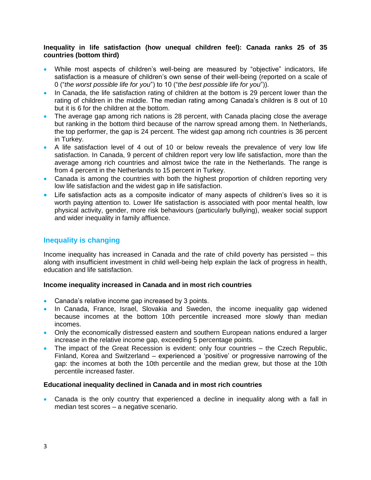### **Inequality in life satisfaction (how unequal children feel): Canada ranks 25 of 35 countries (bottom third)**

- While most aspects of children's well-being are measured by "objective" indicators, life satisfaction is a measure of children's own sense of their well-being (reported on a scale of 0 ("*the worst possible life for you*") to 10 ("*the best possible life for you*")).
- In Canada, the life satisfaction rating of children at the bottom is 29 percent lower than the rating of children in the middle. The median rating among Canada's children is 8 out of 10 but it is 6 for the children at the bottom.
- The average gap among rich nations is 28 percent, with Canada placing close the average but ranking in the bottom third because of the narrow spread among them. In Netherlands, the top performer, the gap is 24 percent. The widest gap among rich countries is 36 percent in Turkey.
- A life satisfaction level of 4 out of 10 or below reveals the prevalence of very low life satisfaction. In Canada, 9 percent of children report very low life satisfaction, more than the average among rich countries and almost twice the rate in the Netherlands. The range is from 4 percent in the Netherlands to 15 percent in Turkey.
- Canada is among the countries with both the highest proportion of children reporting very low life satisfaction and the widest gap in life satisfaction.
- Life satisfaction acts as a composite indicator of many aspects of children's lives so it is worth paying attention to. Lower life satisfaction is associated with poor mental health, low physical activity, gender, more risk behaviours (particularly bullying), weaker social support and wider inequality in family affluence.

# **Inequality is changing**

Income inequality has increased in Canada and the rate of child poverty has persisted – this along with insufficient investment in child well-being help explain the lack of progress in health, education and life satisfaction.

## **Income inequality increased in Canada and in most rich countries**

- Canada's relative income gap increased by 3 points.
- In Canada, France, Israel, Slovakia and Sweden, the income inequality gap widened because incomes at the bottom 10th percentile increased more slowly than median incomes.
- Only the economically distressed eastern and southern European nations endured a larger increase in the relative income gap, exceeding 5 percentage points.
- The impact of the Great Recession is evident: only four countries the Czech Republic, Finland, Korea and Switzerland – experienced a 'positive' or progressive narrowing of the gap: the incomes at both the 10th percentile and the median grew, but those at the 10th percentile increased faster.

## **Educational inequality declined in Canada and in most rich countries**

 Canada is the only country that experienced a decline in inequality along with a fall in median test scores – a negative scenario.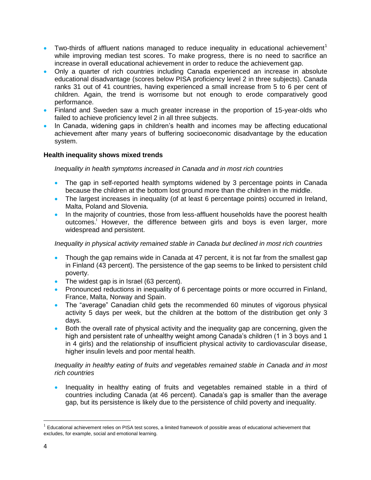- Two-thirds of affluent nations managed to reduce inequality in educational achievement<sup>1</sup> while improving median test scores. To make progress, there is no need to sacrifice an increase in overall educational achievement in order to reduce the achievement gap.
- Only a quarter of rich countries including Canada experienced an increase in absolute educational disadvantage (scores below PISA proficiency level 2 in three subjects). Canada ranks 31 out of 41 countries, having experienced a small increase from 5 to 6 per cent of children. Again, the trend is worrisome but not enough to erode comparatively good performance.
- Finland and Sweden saw a much greater increase in the proportion of 15-year-olds who failed to achieve proficiency level 2 in all three subjects.
- In Canada, widening gaps in children's health and incomes may be affecting educational achievement after many years of buffering socioeconomic disadvantage by the education system.

## **Health inequality shows mixed trends**

*Inequality in health symptoms increased in Canada and in most rich countries*

- The gap in self-reported health symptoms widened by 3 percentage points in Canada because the children at the bottom lost ground more than the children in the middle.
- The largest increases in inequality (of at least 6 percentage points) occurred in Ireland, Malta, Poland and Slovenia.
- In the majority of countries, those from less-affluent households have the poorest health outcomes.<sup>1</sup> However, the difference between girls and boys is even larger, more widespread and persistent.

## *Inequality in physical activity remained stable in Canada but declined in most rich countries*

- Though the gap remains wide in Canada at 47 percent, it is not far from the smallest gap in Finland (43 percent). The persistence of the gap seems to be linked to persistent child poverty.
- The widest gap is in Israel (63 percent).
- Pronounced reductions in inequality of 6 percentage points or more occurred in Finland, France, Malta, Norway and Spain.
- The "average" Canadian child gets the recommended 60 minutes of vigorous physical activity 5 days per week, but the children at the bottom of the distribution get only 3 days.
- Both the overall rate of physical activity and the inequality gap are concerning, given the high and persistent rate of unhealthy weight among Canada's children (1 in 3 boys and 1 in 4 girls) and the relationship of insufficient physical activity to cardiovascular disease, higher insulin levels and poor mental health.

## *Inequality in healthy eating of fruits and vegetables remained stable in Canada and in most rich countries*

 Inequality in healthy eating of fruits and vegetables remained stable in a third of countries including Canada (at 46 percent). Canada's gap is smaller than the average gap, but its persistence is likely due to the persistence of child poverty and inequality.

<sup>1</sup> Educational achievement relies on PISA test scores, a limited framework of possible areas of educational achievement that excludes, for example, social and emotional learning.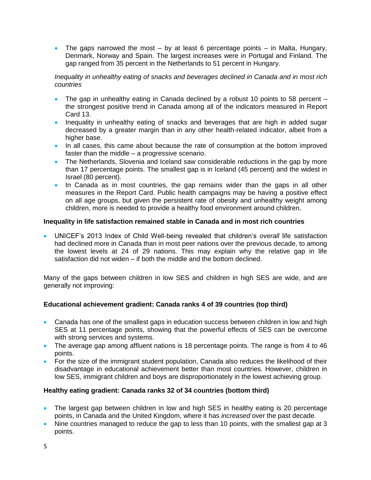The gaps narrowed the most – by at least 6 percentage points – in Malta, Hungary, Denmark, Norway and Spain. The largest increases were in Portugal and Finland. The gap ranged from 35 percent in the Netherlands to 51 percent in Hungary.

### *Inequality in unhealthy eating of snacks and beverages declined in Canada and in most rich countries*

- The gap in unhealthy eating in Canada declined by a robust 10 points to 58 percent the strongest positive trend in Canada among all of the indicators measured in Report Card 13.
- Inequality in unhealthy eating of snacks and beverages that are high in added sugar decreased by a greater margin than in any other health-related indicator, albeit from a higher base.
- In all cases, this came about because the rate of consumption at the bottom improved faster than the middle – a progressive scenario.
- The Netherlands, Slovenia and Iceland saw considerable reductions in the gap by more than 17 percentage points. The smallest gap is in Iceland (45 percent) and the widest in Israel (80 percent).
- In Canada as in most countries, the gap remains wider than the gaps in all other measures in the Report Card. Public health campaigns may be having a positive effect on all age groups, but given the persistent rate of obesity and unhealthy weight among children, more is needed to provide a healthy food environment around children.

## **Inequality in life satisfaction remained stable in Canada and in most rich countries**

 UNICEF's 2013 Index of Child Well-being revealed that children's *overall* life satisfaction had declined more in Canada than in most peer nations over the previous decade, to among the lowest levels at 24 of 29 nations. This may explain why the relative gap in life satisfaction did not widen – if both the middle and the bottom declined.

Many of the gaps between children in low SES and children in high SES are wide, and are generally not improving:

# **Educational achievement gradient: Canada ranks 4 of 39 countries (top third)**

- Canada has one of the smallest gaps in education success between children in low and high SES at 11 percentage points, showing that the powerful effects of SES can be overcome with strong services and systems.
- The average gap among affluent nations is 18 percentage points. The range is from 4 to 46 points.
- For the size of the immigrant student population, Canada also reduces the likelihood of their disadvantage in educational achievement better than most countries. However, children in low SES, immigrant children and boys are disproportionately in the lowest achieving group.

## **Healthy eating gradient: Canada ranks 32 of 34 countries (bottom third)**

- The largest gap between children in low and high SES in healthy eating is 20 percentage points, in Canada and the United Kingdom, where it has *increased* over the past decade.
- Nine countries managed to reduce the gap to less than 10 points, with the smallest gap at 3 points.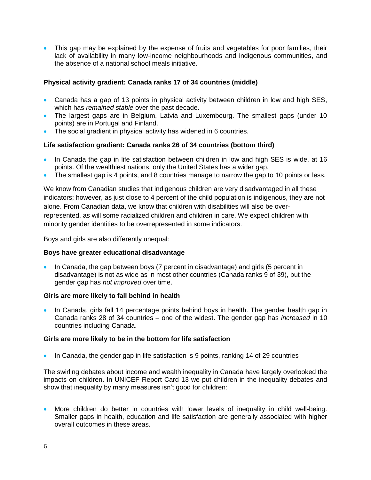This gap may be explained by the expense of fruits and vegetables for poor families, their lack of availability in many low-income neighbourhoods and indigenous communities, and the absence of a national school meals initiative.

## **Physical activity gradient: Canada ranks 17 of 34 countries (middle)**

- Canada has a gap of 13 points in physical activity between children in low and high SES, which has *remained stable* over the past decade.
- The largest gaps are in Belgium, Latvia and Luxembourg. The smallest gaps (under 10 points) are in Portugal and Finland.
- The social gradient in physical activity has widened in 6 countries.

## **Life satisfaction gradient: Canada ranks 26 of 34 countries (bottom third)**

- In Canada the gap in life satisfaction between children in low and high SES is wide, at 16 points. Of the wealthiest nations, only the United States has a wider gap.
- The smallest gap is 4 points, and 8 countries manage to narrow the gap to 10 points or less.

We know from Canadian studies that indigenous children are very disadvantaged in all these indicators; however, as just close to 4 percent of the child population is indigenous, they are not alone. From Canadian data, we know that children with disabilities will also be overrepresented, as will some racialized children and children in care. We expect children with minority gender identities to be overrepresented in some indicators.

Boys and girls are also differently unequal:

## **Boys have greater educational disadvantage**

 In Canada, the gap between boys (7 percent in disadvantage) and girls (5 percent in disadvantage) is not as wide as in most other countries (Canada ranks 9 of 39), but the gender gap has *not improved* over time.

## **Girls are more likely to fall behind in health**

• In Canada, girls fall 14 percentage points behind boys in health. The gender health gap in Canada ranks 28 of 34 countries – one of the widest. The gender gap has *increased* in 10 countries including Canada.

## **Girls are more likely to be in the bottom for life satisfaction**

In Canada, the gender gap in life satisfaction is 9 points, ranking 14 of 29 countries

The swirling debates about income and wealth inequality in Canada have largely overlooked the impacts on children. In UNICEF Report Card 13 we put children in the inequality debates and show that inequality by many measures isn't good for children:

 More children do better in countries with lower levels of inequality in child well-being. Smaller gaps in health, education and life satisfaction are generally associated with higher overall outcomes in these areas.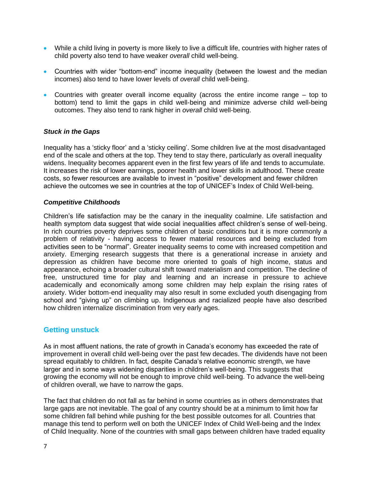- While a child living in poverty is more likely to live a difficult life, countries with higher rates of child poverty also tend to have weaker *overall* child well-being.
- Countries with wider "bottom-end" income inequality (between the lowest and the median incomes) also tend to have lower levels of *overall* child well-being.
- Countries with greater overall income equality (across the entire income range top to bottom) tend to limit the gaps in child well-being and minimize adverse child well-being outcomes. They also tend to rank higher in *overall* child well-being.

## *Stuck in the Gaps*

Inequality has a 'sticky floor' and a 'sticky ceiling'. Some children live at the most disadvantaged end of the scale and others at the top. They tend to stay there, particularly as overall inequality widens. Inequality becomes apparent even in the first few years of life and tends to accumulate. It increases the risk of lower earnings, poorer health and lower skills in adulthood. These create costs, so fewer resources are available to invest in "positive" development and fewer children achieve the outcomes we see in countries at the top of UNICEF's Index of Child Well-being.

## *Competitive Childhoods*

Children's life satisfaction may be the canary in the inequality coalmine. Life satisfaction and health symptom data suggest that wide social inequalities affect children's sense of well-being. In rich countries poverty deprives some children of basic conditions but it is more commonly a problem of relativity - having access to fewer material resources and being excluded from activities seen to be "normal". Greater inequality seems to come with increased competition and anxiety. Emerging research suggests that there is a generational increase in anxiety and depression as children have become more oriented to goals of high income, status and appearance, echoing a broader cultural shift toward materialism and competition. The decline of free, unstructured time for play and learning and an increase in pressure to achieve academically and economically among some children may help explain the rising rates of anxiety. Wider bottom-end inequality may also result in some excluded youth disengaging from school and "giving up" on climbing up. Indigenous and racialized people have also described how children internalize discrimination from very early ages.

# **Getting unstuck**

As in most affluent nations, the rate of growth in Canada's economy has exceeded the rate of improvement in overall child well-being over the past few decades. The dividends have not been spread equitably to children. In fact, despite Canada's relative economic strength, we have larger and in some ways widening disparities in children's well-being. This suggests that growing the economy will not be enough to improve child well-being. To advance the well-being of children overall, we have to narrow the gaps.

The fact that children do not fall as far behind in some countries as in others demonstrates that large gaps are not inevitable. The goal of any country should be at a minimum to limit how far some children fall behind while pushing for the best possible outcomes for all. Countries that manage this tend to perform well on both the UNICEF Index of Child Well-being and the Index of Child Inequality. None of the countries with small gaps between children have traded equality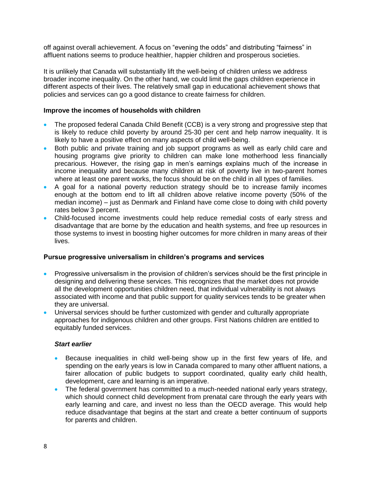off against overall achievement. A focus on "evening the odds" and distributing "fairness" in affluent nations seems to produce healthier, happier children and prosperous societies.

It is unlikely that Canada will substantially lift the well-being of children unless we address broader income inequality. On the other hand, we could limit the gaps children experience in different aspects of their lives. The relatively small gap in educational achievement shows that policies and services can go a good distance to create fairness for children.

### **Improve the incomes of households with children**

- The proposed federal Canada Child Benefit (CCB) is a very strong and progressive step that is likely to reduce child poverty by around 25-30 per cent and help narrow inequality. It is likely to have a positive effect on many aspects of child well-being.
- Both public and private training and job support programs as well as early child care and housing programs give priority to children can make lone motherhood less financially precarious. However, the rising gap in men's earnings explains much of the increase in income inequality and because many children at risk of poverty live in two-parent homes where at least one parent works, the focus should be on the child in all types of families.
- A goal for a national poverty reduction strategy should be to increase family incomes enough at the bottom end to lift all children above relative income poverty (50% of the median income) – just as Denmark and Finland have come close to doing with child poverty rates below 3 percent.
- Child-focused income investments could help reduce remedial costs of early stress and disadvantage that are borne by the education and health systems, and free up resources in those systems to invest in boosting higher outcomes for more children in many areas of their lives.

#### **Pursue progressive universalism in children's programs and services**

- Progressive universalism in the provision of children's services should be the first principle in designing and delivering these services. This recognizes that the market does not provide all the development opportunities children need, that individual vulnerability is not always associated with income and that public support for quality services tends to be greater when they are universal.
- Universal services should be further customized with gender and culturally appropriate approaches for indigenous children and other groups. First Nations children are entitled to equitably funded services.

#### *Start earlier*

- Because inequalities in child well-being show up in the first few years of life, and spending on the early years is low in Canada compared to many other affluent nations, a fairer allocation of public budgets to support coordinated, quality early child health, development, care and learning is an imperative.
- The federal government has committed to a much-needed national early years strategy, which should connect child development from prenatal care through the early years with early learning and care, and invest no less than the OECD average. This would help reduce disadvantage that begins at the start and create a better continuum of supports for parents and children.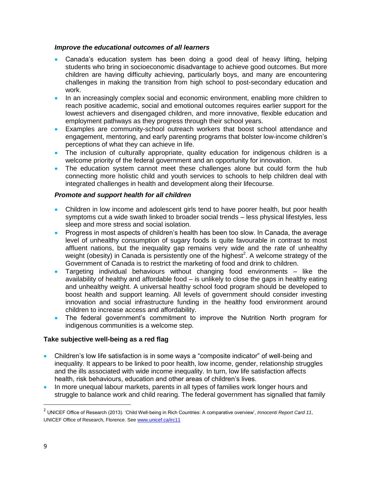#### *Improve the educational outcomes of all learners*

- Canada's education system has been doing a good deal of heavy lifting, helping students who bring in socioeconomic disadvantage to achieve good outcomes. But more children are having difficulty achieving, particularly boys, and many are encountering challenges in making the transition from high school to post-secondary education and work.
- In an increasingly complex social and economic environment, enabling more children to reach positive academic, social and emotional outcomes requires earlier support for the lowest achievers and disengaged children, and more innovative, flexible education and employment pathways as they progress through their school years.
- Examples are community-school outreach workers that boost school attendance and engagement, mentoring, and early parenting programs that bolster low-income children's perceptions of what they can achieve in life.
- The inclusion of culturally appropriate, quality education for indigenous children is a welcome priority of the federal government and an opportunity for innovation.
- The education system cannot meet these challenges alone but could form the hub connecting more holistic child and youth services to schools to help children deal with integrated challenges in health and development along their lifecourse.

#### *Promote and support health for all children*

- Children in low income and adolescent girls tend to have poorer health, but poor health symptoms cut a wide swath linked to broader social trends – less physical lifestyles, less sleep and more stress and social isolation.
- Progress in most aspects of children's health has been too slow. In Canada, the average level of unhealthy consumption of sugary foods is quite favourable in contrast to most affluent nations, but the inequality gap remains very wide and the rate of unhealthy weight (obesity) in Canada is persistently one of the highest<sup>2</sup>. A welcome strategy of the Government of Canada is to restrict the marketing of food and drink to children.
- Targeting individual behaviours without changing food environments like the availability of healthy and affordable food – is unlikely to close the gaps in healthy eating and unhealthy weight. A universal healthy school food program should be developed to boost health and support learning. All levels of government should consider investing innovation and social infrastructure funding in the healthy food environment around children to increase access and affordability.
- The federal government's commitment to improve the Nutrition North program for indigenous communities is a welcome step.

## **Take subjective well-being as a red flag**

- Children's low life satisfaction is in some ways a "composite indicator" of well-being and inequality. It appears to be linked to poor health, low income, gender, relationship struggles and the ills associated with wide income inequality. In turn, low life satisfaction affects health, risk behaviours, education and other areas of children's lives.
- In more unequal labour markets, parents in all types of families work longer hours and struggle to balance work and child rearing. The federal government has signalled that family

<sup>2</sup> UNICEF Office of Research (2013). 'Child Well-being in Rich Countries: A comparative overview', *Innocenti Report Card 11*, UNICEF Office of Research, Florence. Se[e www.unicef.ca/irc11](http://www.unicef.ca/irc11)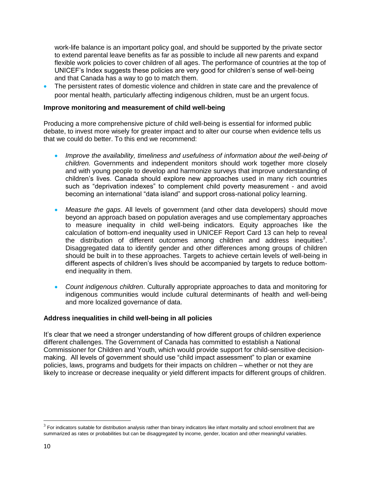work-life balance is an important policy goal, and should be supported by the private sector to extend parental leave benefits as far as possible to include all new parents and expand flexible work policies to cover children of all ages. The performance of countries at the top of UNICEF's Index suggests these policies are very good for children's sense of well-being and that Canada has a way to go to match them.

 The persistent rates of domestic violence and children in state care and the prevalence of poor mental health, particularly affecting indigenous children, must be an urgent focus.

#### **Improve monitoring and measurement of child well-being**

Producing a more comprehensive picture of child well-being is essential for informed public debate, to invest more wisely for greater impact and to alter our course when evidence tells us that we could do better. To this end we recommend:

- *Improve the availability, timeliness and usefulness of information about the well-being of children.* Governments and independent monitors should work together more closely and with young people to develop and harmonize surveys that improve understanding of children's lives. Canada should explore new approaches used in many rich countries such as "deprivation indexes" to complement child poverty measurement - and avoid becoming an international "data island" and support cross-national policy learning.
- *Measure the gaps*. All levels of government (and other data developers) should move beyond an approach based on population averages and use complementary approaches to measure inequality in child well-being indicators. Equity approaches like the calculation of bottom-end inequality used in UNICEF Report Card 13 can help to reveal the distribution of different outcomes among children and address inequities<sup>3</sup>. Disaggregated data to identify gender and other differences among groups of children should be built in to these approaches. Targets to achieve certain levels of well-being in different aspects of children's lives should be accompanied by targets to reduce bottomend inequality in them.
- *Count indigenous children*. Culturally appropriate approaches to data and monitoring for indigenous communities would include cultural determinants of health and well-being and more localized governance of data.

## **Address inequalities in child well-being in all policies**

It's clear that we need a stronger understanding of how different groups of children experience different challenges. The Government of Canada has committed to establish a National Commissioner for Children and Youth, which would provide support for child-sensitive decisionmaking. All levels of government should use "child impact assessment" to plan or examine policies, laws, programs and budgets for their impacts on children – whether or not they are likely to increase or decrease inequality or yield different impacts for different groups of children.

 $^3$  For indicators suitable for distribution analysis rather than binary indicators like infant mortality and school enrollment that are summarized as rates or probabilities but can be disaggregated by income, gender, location and other meaningful variables.